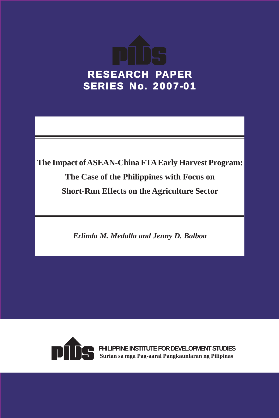

**The Impact of ASEAN-China FTA Early Harvest Program: The Case of the Philippines with Focus on Short-Run Effects on the Agriculture Sector**

*Erlinda M. Medalla and Jenny D. Balboa*



**PHILIPPINE INSTITUTE FOR DEVELOPMENT STUDIES Surian sa mga Pag-aaral Pangkaunlaran ng Pilipinas**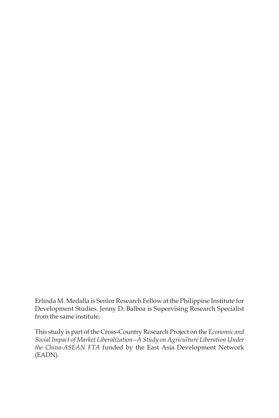Erlinda M. Medalla is Senior Research Fellow at the Philippine Institute for Development Studies. Jenny D. Balboa is Supervising Research Specialist from the same institute.

This study is part of the Cross-Country Research Project on the *Economic and Social Impact of Market Liberalization--A Study on Agriculture Liberation Under the China-ASEAN FTA* funded by the East Asia Development Network (EADN).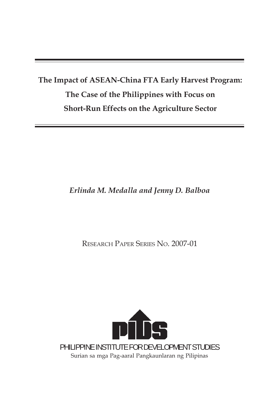## **The Impact of ASEAN-China FTA Early Harvest Program: The Case of the Philippines with Focus on Short-Run Effects on the Agriculture Sector**

## *Erlinda M. Medalla and Jenny D. Balboa*

RESEARCH PAPER SERIES NO. 2007-01

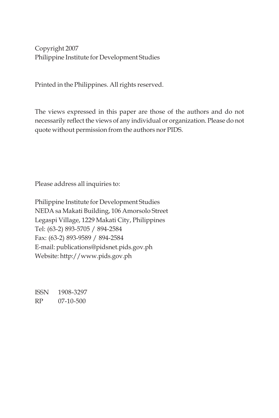Copyright 2007 Philippine Institute for Development Studies

Printed in the Philippines. All rights reserved.

The views expressed in this paper are those of the authors and do not necessarily reflect the views of any individual or organization. Please do not quote without permission from the authors nor PIDS.

Please address all inquiries to:

Philippine Institute for Development Studies NEDA sa Makati Building, 106 Amorsolo Street Legaspi Village, 1229 Makati City, Philippines Tel: (63-2) 893-5705 / 894-2584 Fax: (63-2) 893-9589 / 894-2584 E-mail: publications@pidsnet.pids.gov.ph Website: http://www.pids.gov.ph

ISSN 1908-3297 RP 07-10-500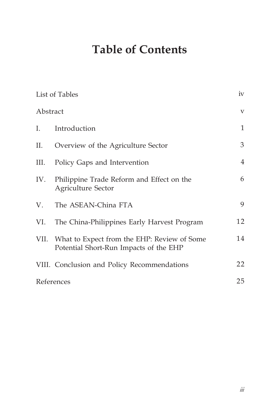# **Table of Contents**

|          | List of Tables                                                                        | iv                      |
|----------|---------------------------------------------------------------------------------------|-------------------------|
| Abstract |                                                                                       | $\overline{\mathbf{V}}$ |
| Ι.       | Introduction                                                                          | $\mathbf{1}$            |
| П.       | Overview of the Agriculture Sector                                                    | 3                       |
| III.     | Policy Gaps and Intervention                                                          | $\overline{4}$          |
| IV.      | Philippine Trade Reform and Effect on the<br><b>Agriculture Sector</b>                | 6                       |
| V.       | The ASEAN-China FTA                                                                   | 9                       |
| VI.      | The China-Philippines Early Harvest Program                                           | 12                      |
| VII.     | What to Expect from the EHP: Review of Some<br>Potential Short-Run Impacts of the EHP | 14                      |
|          | VIII. Conclusion and Policy Recommendations                                           | 22                      |
|          | References                                                                            | 25                      |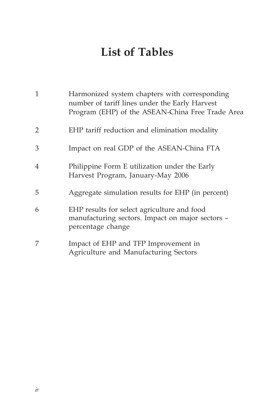# **List of Tables**

| 1              | Harmonized system chapters with corresponding<br>number of tariff lines under the Early Harvest<br>Program (EHP) of the ASEAN-China Free Trade Area |
|----------------|-----------------------------------------------------------------------------------------------------------------------------------------------------|
| $\overline{2}$ | EHP tariff reduction and elimination modality                                                                                                       |
| 3              | Impact on real GDP of the ASEAN-China FTA                                                                                                           |
| 4              | Philippine Form E utilization under the Early<br>Harvest Program, January-May 2006                                                                  |
| 5              | Aggregate simulation results for EHP (in percent)                                                                                                   |
| 6              | EHP results for select agriculture and food<br>manufacturing sectors. Impact on major sectors -<br>percentage change                                |
| 7              | Impact of EHP and TFP Improvement in<br>Agriculture and Manufacturing Sectors                                                                       |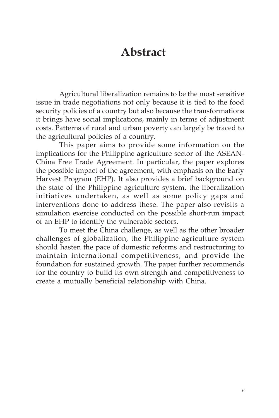## **Abstract**

Agricultural liberalization remains to be the most sensitive issue in trade negotiations not only because it is tied to the food security policies of a country but also because the transformations it brings have social implications, mainly in terms of adjustment costs. Patterns of rural and urban poverty can largely be traced to the agricultural policies of a country.

This paper aims to provide some information on the implications for the Philippine agriculture sector of the ASEAN-China Free Trade Agreement. In particular, the paper explores the possible impact of the agreement, with emphasis on the Early Harvest Program (EHP). It also provides a brief background on the state of the Philippine agriculture system, the liberalization initiatives undertaken, as well as some policy gaps and interventions done to address these. The paper also revisits a simulation exercise conducted on the possible short-run impact of an EHP to identify the vulnerable sectors.

To meet the China challenge, as well as the other broader challenges of globalization, the Philippine agriculture system should hasten the pace of domestic reforms and restructuring to maintain international competitiveness, and provide the foundation for sustained growth. The paper further recommends for the country to build its own strength and competitiveness to create a mutually beneficial relationship with China.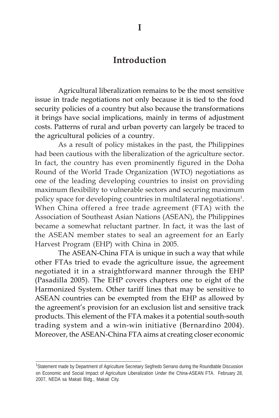## **Introduction**

Agricultural liberalization remains to be the most sensitive issue in trade negotiations not only because it is tied to the food security policies of a country but also because the transformations it brings have social implications, mainly in terms of adjustment costs. Patterns of rural and urban poverty can largely be traced to the agricultural policies of a country.

As a result of policy mistakes in the past, the Philippines had been cautious with the liberalization of the agriculture sector. In fact, the country has even prominently figured in the Doha Round of the World Trade Organization (WTO) negotiations as one of the leading developing countries to insist on providing maximum flexibility to vulnerable sectors and securing maximum policy space for developing countries in multilateral negotiations<sup>1</sup>. When China offered a free trade agreement (FTA) with the Association of Southeast Asian Nations (ASEAN), the Philippines became a somewhat reluctant partner. In fact, it was the last of the ASEAN member states to seal an agreement for an Early Harvest Program (EHP) with China in 2005.

The ASEAN-China FTA is unique in such a way that while other FTAs tried to evade the agriculture issue, the agreement negotiated it in a straightforward manner through the EHP (Pasadilla 2005). The EHP covers chapters one to eight of the Harmonized System. Other tariff lines that may be sensitive to ASEAN countries can be exempted from the EHP as allowed by the agreement's provision for an exclusion list and sensitive track products. This element of the FTA makes it a potential south-south trading system and a win-win initiative (Bernardino 2004). Moreover, the ASEAN-China FTA aims at creating closer economic

<sup>&</sup>lt;sup>1</sup>Statement made by Department of Agriculture Secretary Segfredo Serrano during the Roundtable Discussion on Economic and Social Impact of Agriculture Liberalization Under the China-ASEAN FTA. February 28, 2007, NEDA sa Makati Bldg., Makati City.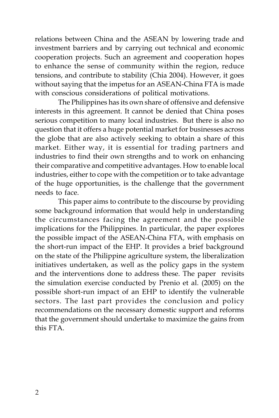relations between China and the ASEAN by lowering trade and investment barriers and by carrying out technical and economic cooperation projects. Such an agreement and cooperation hopes to enhance the sense of community within the region, reduce tensions, and contribute to stability (Chia 2004). However, it goes without saying that the impetus for an ASEAN-China FTA is made with conscious considerations of political motivations.

The Philippines has its own share of offensive and defensive interests in this agreement. It cannot be denied that China poses serious competition to many local industries. But there is also no question that it offers a huge potential market for businesses across the globe that are also actively seeking to obtain a share of this market. Either way, it is essential for trading partners and industries to find their own strengths and to work on enhancing their comparative and competitive advantages. How to enable local industries, either to cope with the competition or to take advantage of the huge opportunities, is the challenge that the government needs to face.

This paper aims to contribute to the discourse by providing some background information that would help in understanding the circumstances facing the agreement and the possible implications for the Philippines. In particular, the paper explores the possible impact of the ASEAN-China FTA, with emphasis on the short-run impact of the EHP. It provides a brief background on the state of the Philippine agriculture system, the liberalization initiatives undertaken, as well as the policy gaps in the system and the interventions done to address these. The paper revisits the simulation exercise conducted by Prenio et al. (2005) on the possible short-run impact of an EHP to identify the vulnerable sectors. The last part provides the conclusion and policy recommendations on the necessary domestic support and reforms that the government should undertake to maximize the gains from this FTA.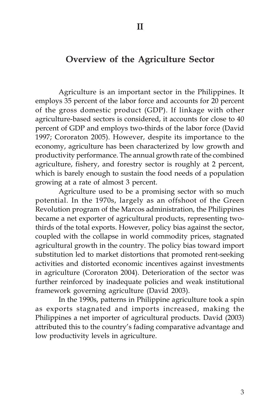### **Overview of the Agriculture Sector**

Agriculture is an important sector in the Philippines. It employs 35 percent of the labor force and accounts for 20 percent of the gross domestic product (GDP). If linkage with other agriculture-based sectors is considered, it accounts for close to 40 percent of GDP and employs two-thirds of the labor force (David 1997; Cororaton 2005). However, despite its importance to the economy, agriculture has been characterized by low growth and productivity performance. The annual growth rate of the combined agriculture, fishery, and forestry sector is roughly at 2 percent, which is barely enough to sustain the food needs of a population growing at a rate of almost 3 percent.

Agriculture used to be a promising sector with so much potential. In the 1970s, largely as an offshoot of the Green Revolution program of the Marcos administration, the Philippines became a net exporter of agricultural products, representing twothirds of the total exports. However, policy bias against the sector, coupled with the collapse in world commodity prices, stagnated agricultural growth in the country. The policy bias toward import substitution led to market distortions that promoted rent-seeking activities and distorted economic incentives against investments in agriculture (Cororaton 2004). Deterioration of the sector was further reinforced by inadequate policies and weak institutional framework governing agriculture (David 2003).

In the 1990s, patterns in Philippine agriculture took a spin as exports stagnated and imports increased, making the Philippines a net importer of agricultural products. David (2003) attributed this to the country's fading comparative advantage and low productivity levels in agriculture.

**II**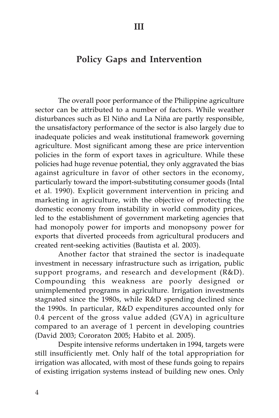## **Policy Gaps and Intervention**

The overall poor performance of the Philippine agriculture sector can be attributed to a number of factors. While weather disturbances such as El Niño and La Niña are partly responsible, the unsatisfactory performance of the sector is also largely due to inadequate policies and weak institutional framework governing agriculture. Most significant among these are price intervention policies in the form of export taxes in agriculture. While these policies had huge revenue potential, they only aggravated the bias against agriculture in favor of other sectors in the economy, particularly toward the import-substituting consumer goods (Intal et al. 1990). Explicit government intervention in pricing and marketing in agriculture, with the objective of protecting the domestic economy from instability in world commodity prices, led to the establishment of government marketing agencies that had monopoly power for imports and monopsony power for exports that diverted proceeds from agricultural producers and created rent-seeking activities (Bautista et al. 2003).

Another factor that strained the sector is inadequate investment in necessary infrastructure such as irrigation, public support programs, and research and development (R&D). Compounding this weakness are poorly designed or unimplemented programs in agriculture. Irrigation investments stagnated since the 1980s, while R&D spending declined since the 1990s. In particular, R&D expenditures accounted only for 0.4 percent of the gross value added (GVA) in agriculture compared to an average of 1 percent in developing countries (David 2003; Cororaton 2005; Habito et al. 2005).

Despite intensive reforms undertaken in 1994, targets were still insufficiently met. Only half of the total appropriation for irrigation was allocated, with most of these funds going to repairs of existing irrigation systems instead of building new ones. Only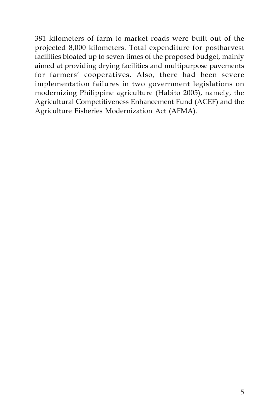381 kilometers of farm-to-market roads were built out of the projected 8,000 kilometers. Total expenditure for postharvest facilities bloated up to seven times of the proposed budget, mainly aimed at providing drying facilities and multipurpose pavements for farmers' cooperatives. Also, there had been severe implementation failures in two government legislations on modernizing Philippine agriculture (Habito 2005), namely, the Agricultural Competitiveness Enhancement Fund (ACEF) and the Agriculture Fisheries Modernization Act (AFMA).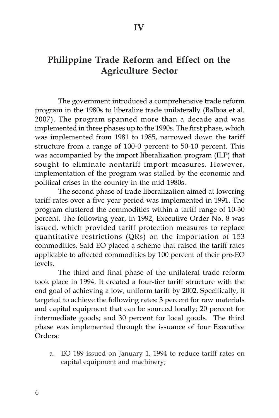## **Philippine Trade Reform and Effect on the Agriculture Sector**

The government introduced a comprehensive trade reform program in the 1980s to liberalize trade unilaterally (Balboa et al. 2007). The program spanned more than a decade and was implemented in three phases up to the 1990s. The first phase, which was implemented from 1981 to 1985, narrowed down the tariff structure from a range of 100-0 percent to 50-10 percent. This was accompanied by the import liberalization program (ILP) that sought to eliminate nontariff import measures. However, implementation of the program was stalled by the economic and political crises in the country in the mid-1980s.

The second phase of trade liberalization aimed at lowering tariff rates over a five-year period was implemented in 1991. The program clustered the commodities within a tariff range of 10-30 percent. The following year, in 1992, Executive Order No. 8 was issued, which provided tariff protection measures to replace quantitative restrictions (QRs) on the importation of 153 commodities. Said EO placed a scheme that raised the tariff rates applicable to affected commodities by 100 percent of their pre-EO levels.

The third and final phase of the unilateral trade reform took place in 1994. It created a four-tier tariff structure with the end goal of achieving a low, uniform tariff by 2002. Specifically, it targeted to achieve the following rates: 3 percent for raw materials and capital equipment that can be sourced locally; 20 percent for intermediate goods; and 30 percent for local goods. The third phase was implemented through the issuance of four Executive Orders:

a. EO 189 issued on January 1, 1994 to reduce tariff rates on capital equipment and machinery;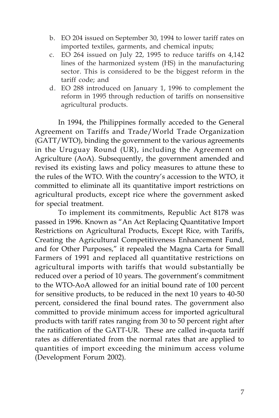- b. EO 204 issued on September 30, 1994 to lower tariff rates on imported textiles, garments, and chemical inputs;
- c. EO 264 issued on July 22, 1995 to reduce tariffs on 4,142 lines of the harmonized system (HS) in the manufacturing sector. This is considered to be the biggest reform in the tariff code; and
- d. EO 288 introduced on January 1, 1996 to complement the reform in 1995 through reduction of tariffs on nonsensitive agricultural products.

In 1994, the Philippines formally acceded to the General Agreement on Tariffs and Trade/World Trade Organization (GATT/WTO), binding the government to the various agreements in the Uruguay Round (UR), including the Agreement on Agriculture (AoA). Subsequently, the government amended and revised its existing laws and policy measures to attune these to the rules of the WTO. With the country's accession to the WTO, it committed to eliminate all its quantitative import restrictions on agricultural products, except rice where the government asked for special treatment.

To implement its commitments, Republic Act 8178 was passed in 1996. Known as "An Act Replacing Quantitative Import Restrictions on Agricultural Products, Except Rice, with Tariffs, Creating the Agricultural Competitiveness Enhancement Fund, and for Other Purposes," it repealed the Magna Carta for Small Farmers of 1991 and replaced all quantitative restrictions on agricultural imports with tariffs that would substantially be reduced over a period of 10 years. The government's commitment to the WTO-AoA allowed for an initial bound rate of 100 percent for sensitive products, to be reduced in the next 10 years to 40-50 percent, considered the final bound rates. The government also committed to provide minimum access for imported agricultural products with tariff rates ranging from 30 to 50 percent right after the ratification of the GATT-UR. These are called in-quota tariff rates as differentiated from the normal rates that are applied to quantities of import exceeding the minimum access volume (Development Forum 2002).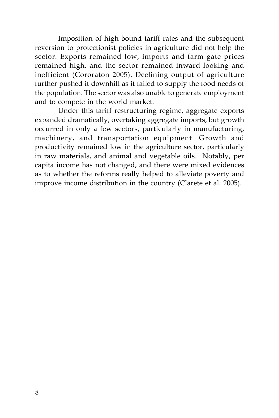Imposition of high-bound tariff rates and the subsequent reversion to protectionist policies in agriculture did not help the sector. Exports remained low, imports and farm gate prices remained high, and the sector remained inward looking and inefficient (Cororaton 2005). Declining output of agriculture further pushed it downhill as it failed to supply the food needs of the population. The sector was also unable to generate employment and to compete in the world market.

Under this tariff restructuring regime, aggregate exports expanded dramatically, overtaking aggregate imports, but growth occurred in only a few sectors, particularly in manufacturing, machinery, and transportation equipment. Growth and productivity remained low in the agriculture sector, particularly in raw materials, and animal and vegetable oils. Notably, per capita income has not changed, and there were mixed evidences as to whether the reforms really helped to alleviate poverty and improve income distribution in the country (Clarete et al. 2005).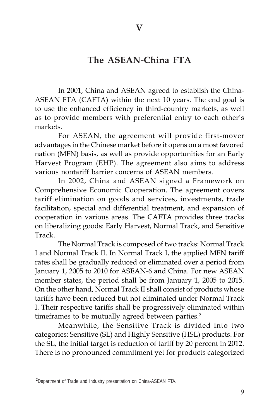## **The ASEAN-China FTA**

In 2001, China and ASEAN agreed to establish the China-ASEAN FTA (CAFTA) within the next 10 years. The end goal is to use the enhanced efficiency in third-country markets, as well as to provide members with preferential entry to each other's markets.

For ASEAN, the agreement will provide first-mover advantages in the Chinese market before it opens on a most favored nation (MFN) basis, as well as provide opportunities for an Early Harvest Program (EHP). The agreement also aims to address various nontariff barrier concerns of ASEAN members.

In 2002, China and ASEAN signed a Framework on Comprehensive Economic Cooperation. The agreement covers tariff elimination on goods and services, investments, trade facilitation, special and differential treatment, and expansion of cooperation in various areas. The CAFTA provides three tracks on liberalizing goods: Early Harvest, Normal Track, and Sensitive Track.

The Normal Track is composed of two tracks: Normal Track I and Normal Track II. In Normal Track I, the applied MFN tariff rates shall be gradually reduced or eliminated over a period from January 1, 2005 to 2010 for ASEAN-6 and China. For new ASEAN member states, the period shall be from January 1, 2005 to 2015. On the other hand, Normal Track II shall consist of products whose tariffs have been reduced but not eliminated under Normal Track I. Their respective tariffs shall be progressively eliminated within timeframes to be mutually agreed between parties.<sup>2</sup>

Meanwhile, the Sensitive Track is divided into two categories: Sensitive (SL) and Highly Sensitive (HSL) products. For the SL, the initial target is reduction of tariff by 20 percent in 2012. There is no pronounced commitment yet for products categorized

<sup>&</sup>lt;sup>2</sup>Department of Trade and Industry presentation on China-ASEAN FTA.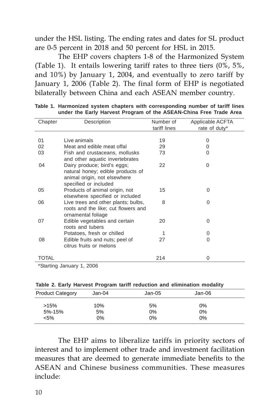under the HSL listing. The ending rates and dates for SL product are 0-5 percent in 2018 and 50 percent for HSL in 2015.

The EHP covers chapters 1-8 of the Harmonized System (Table 1). It entails lowering tariff rates to three tiers (0%, 5%, and 10%) by January 1, 2004, and eventually to zero tariff by January 1, 2006 (Table 2). The final form of EHP is negotiated bilaterally between China and each ASEAN member country.

| Chapter | Description                         | Number of    | Applicable ACFTA |
|---------|-------------------------------------|--------------|------------------|
|         |                                     | tariff lines | rate of duty*    |
|         |                                     |              |                  |
| 01      | Live animals                        | 19           | 0                |
| 02      | Meat and edible meat offal          | 29           | 0                |
| 03      | Fish and crustaceans, mollusks      | 73           | 0                |
|         | and other aquatic invertebrates     |              |                  |
| 04      | Dairy produce; bird's eggs;         | 22           | 0                |
|         | natural honey; edible products of   |              |                  |
|         | animal origin, not elsewhere        |              |                  |
|         | specified or included               |              |                  |
| 05      | Products of animal origin, not      | 15           | 0                |
|         | elsewhere specified or included     |              |                  |
| 06      | Live trees and other plants; bulbs, | 8            | 0                |
|         | roots and the like; cut flowers and |              |                  |
|         | ornamental foliage                  |              |                  |
| 07      | Edible vegetables and certain       | 20           | 0                |
|         | roots and tubers                    |              |                  |
|         | Potatoes, fresh or chilled          | 1            | 0                |
| 08      | Edible fruits and nuts; peel of     | 27           | 0                |
|         | citrus fruits or melons             |              |                  |
|         |                                     |              |                  |
| TOTAL   |                                     | 214          | 0                |

**Table 1. Harmonized system chapters with corresponding number of tariff lines under the Early Harvest Program of the ASEAN-China Free Trade Area**

\*Starting January 1, 2006

**Table 2. Early Harvest Program tariff reduction and elimination modality**

| <b>Product Category</b> | Jan-04 | Jan-05 | Jan-06 |  |
|-------------------------|--------|--------|--------|--|
| >15%                    | 10%    | 5%     | 0%     |  |
| 5%-15%                  | 5%     | 0%     | 0%     |  |
| $< 5\%$                 | 0%     | 0%     | 0%     |  |

The EHP aims to liberalize tariffs in priority sectors of interest and to implement other trade and investment facilitation measures that are deemed to generate immediate benefits to the ASEAN and Chinese business communities. These measures include: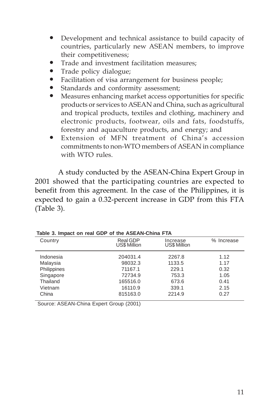- Development and technical assistance to build capacity of countries, particularly new ASEAN members, to improve their competitiveness;
- Trade and investment facilitation measures;
- Trade policy dialogue;
- Facilitation of visa arrangement for business people;
- Standards and conformity assessment;
- Measures enhancing market access opportunities for specific products or services to ASEAN and China, such as agricultural and tropical products, textiles and clothing, machinery and electronic products, footwear, oils and fats, foodstuffs, forestry and aquaculture products, and energy; and
- y Extension of MFN treatment of China's accession commitments to non-WTO members of ASEAN in compliance with WTO rules.

A study conducted by the ASEAN-China Expert Group in 2001 showed that the participating countries are expected to benefit from this agreement. In the case of the Philippines, it is expected to gain a 0.32-percent increase in GDP from this FTA (Table 3).

| Country            | Real GDP<br><b>US\$ Million</b> | Increase<br><b>US\$ Million</b> | % Increase |  |  |
|--------------------|---------------------------------|---------------------------------|------------|--|--|
| Indonesia          | 204031.4                        | 2267.8                          | 1.12       |  |  |
| Malaysia           | 98032.3                         | 1133.5                          | 1.17       |  |  |
| <b>Philippines</b> | 71167.1                         | 229.1                           | 0.32       |  |  |
| Singapore          | 72734.9                         | 753.3                           | 1.05       |  |  |
| Thailand           | 165516.0                        | 673.6                           | 0.41       |  |  |
| Vietnam            | 16110.9                         | 339.1                           | 2.15       |  |  |
| China              | 815163.0                        | 2214.9                          | 0.27       |  |  |
|                    |                                 |                                 |            |  |  |

**Table 3. Impact on real GDP of the ASEAN-China FTA**

Source: ASEAN-China Expert Group (2001)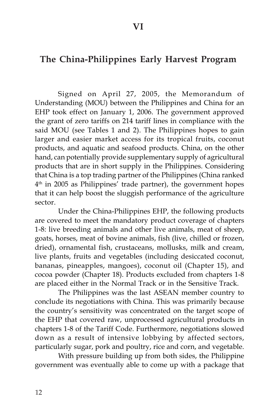## **The China-Philippines Early Harvest Program**

Signed on April 27, 2005, the Memorandum of Understanding (MOU) between the Philippines and China for an EHP took effect on January 1, 2006. The government approved the grant of zero tariffs on 214 tariff lines in compliance with the said MOU (see Tables 1 and 2). The Philippines hopes to gain larger and easier market access for its tropical fruits, coconut products, and aquatic and seafood products. China, on the other hand, can potentially provide supplementary supply of agricultural products that are in short supply in the Philippines. Considering that China is a top trading partner of the Philippines (China ranked 4th in 2005 as Philippines' trade partner), the government hopes that it can help boost the sluggish performance of the agriculture sector.

Under the China-Philippines EHP, the following products are covered to meet the mandatory product coverage of chapters 1-8: live breeding animals and other live animals, meat of sheep, goats, horses, meat of bovine animals, fish (live, chilled or frozen, dried), ornamental fish, crustaceans, mollusks, milk and cream, live plants, fruits and vegetables (including desiccated coconut, bananas, pineapples, mangoes), coconut oil (Chapter 15), and cocoa powder (Chapter 18). Products excluded from chapters 1-8 are placed either in the Normal Track or in the Sensitive Track.

The Philippines was the last ASEAN member country to conclude its negotiations with China. This was primarily because the country's sensitivity was concentrated on the target scope of the EHP that covered raw, unprocessed agricultural products in chapters 1-8 of the Tariff Code. Furthermore, negotiations slowed down as a result of intensive lobbying by affected sectors, particularly sugar, pork and poultry, rice and corn, and vegetable.

With pressure building up from both sides, the Philippine government was eventually able to come up with a package that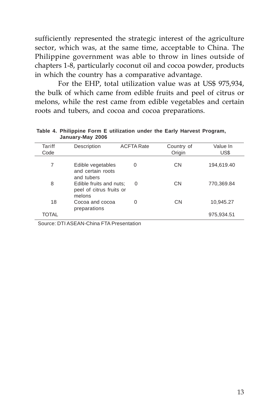sufficiently represented the strategic interest of the agriculture sector, which was, at the same time, acceptable to China. The Philippine government was able to throw in lines outside of chapters 1-8, particularly coconut oil and cocoa powder, products in which the country has a comparative advantage.

For the EHP, total utilization value was at US\$ 975,934, the bulk of which came from edible fruits and peel of citrus or melons, while the rest came from edible vegetables and certain roots and tubers, and cocoa and cocoa preparations.

| Tariff<br>Code | Description                                                   | <b>ACFTA Rate</b> | Country of<br>Origin | Value In<br>US\$ |
|----------------|---------------------------------------------------------------|-------------------|----------------------|------------------|
| 7              | Edible vegetables<br>and certain roots<br>and tubers          | 0                 | <b>CN</b>            | 194,619.40       |
| 8              | Edible fruits and nuts:<br>peel of citrus fruits or<br>melons | $\Omega$          | CN                   | 770,369.84       |
| 18             | Cocoa and cocoa<br>preparations                               | $\Omega$          | <b>CN</b>            | 10,945.27        |
| <b>TOTAL</b>   |                                                               |                   |                      | 975,934.51       |

#### **Table 4. Philippine Form E utilization under the Early Harvest Program, January-May 2006**

Source: DTI ASEAN-China FTA Presentation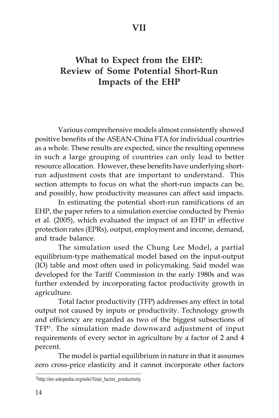## **What to Expect from the EHP: Review of Some Potential Short-Run Impacts of the EHP**

Various comprehensive models almost consistently showed positive benefits of the ASEAN-China FTA for individual countries as a whole. These results are expected, since the resulting openness in such a large grouping of countries can only lead to better resource allocation. However, these benefits have underlying shortrun adjustment costs that are important to understand. This section attempts to focus on what the short-run impacts can be, and possibly, how productivity measures can affect said impacts.

In estimating the potential short-run ramifications of an EHP, the paper refers to a simulation exercise conducted by Prenio et al. (2005), which evaluated the impact of an EHP in effective protection rates (EPRs), output, employment and income, demand, and trade balance.

The simulation used the Chung Lee Model, a partial equilibrium-type mathematical model based on the input-output (IO) table and most often used in policymaking. Said model was developed for the Tariff Commission in the early 1980s and was further extended by incorporating factor productivity growth in agriculture.

Total factor productivity (TFP) addresses any effect in total output not caused by inputs or productivity. Technology growth and efficiency are regarded as two of the biggest subsections of TFP3 . The simulation made downward adjustment of input requirements of every sector in agriculture by a factor of 2 and 4 percent.

The model is partial equilibrium in nature in that it assumes zero cross-price elasticity and it cannot incorporate other factors

<sup>&</sup>lt;sup>3</sup>http://en.wikipedia.org/wiki/Total\_factor\_productivity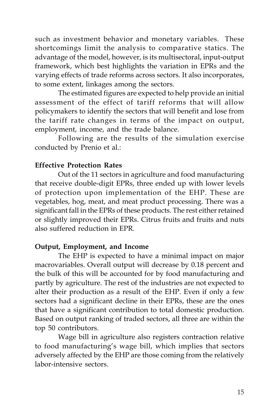such as investment behavior and monetary variables. These shortcomings limit the analysis to comparative statics. The advantage of the model, however, is its multisectoral, input-output framework, which best highlights the variation in EPRs and the varying effects of trade reforms across sectors. It also incorporates, to some extent, linkages among the sectors.

The estimated figures are expected to help provide an initial assessment of the effect of tariff reforms that will allow policymakers to identify the sectors that will benefit and lose from the tariff rate changes in terms of the impact on output, employment, income, and the trade balance.

Following are the results of the simulation exercise conducted by Prenio et al.:

#### **Effective Protection Rates**

Out of the 11 sectors in agriculture and food manufacturing that receive double-digit EPRs, three ended up with lower levels of protection upon implementation of the EHP. These are vegetables, hog, meat, and meat product processing. There was a significant fall in the EPRs of these products. The rest either retained or slightly improved their EPRs. Citrus fruits and fruits and nuts also suffered reduction in EPR.

#### **Output, Employment, and Income**

The EHP is expected to have a minimal impact on major macrovariables. Overall output will decrease by 0.18 percent and the bulk of this will be accounted for by food manufacturing and partly by agriculture. The rest of the industries are not expected to alter their production as a result of the EHP. Even if only a few sectors had a significant decline in their EPRs, these are the ones that have a significant contribution to total domestic production. Based on output ranking of traded sectors, all three are within the top 50 contributors.

Wage bill in agriculture also registers contraction relative to food manufacturing's wage bill, which implies that sectors adversely affected by the EHP are those coming from the relatively labor-intensive sectors.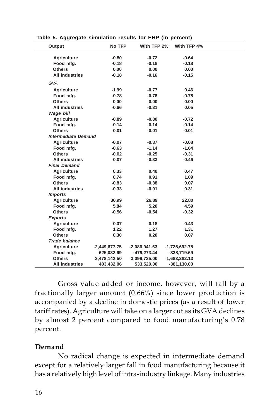| Output                     | No TFP          | With TFP 2%     | With TFP 4%     |  |
|----------------------------|-----------------|-----------------|-----------------|--|
|                            |                 |                 |                 |  |
| <b>Agriculture</b>         | $-0.80$         | $-0.72$         | $-0.64$         |  |
| Food mfg.                  | $-0.18$         | $-0.18$         | $-0.18$         |  |
| <b>Others</b>              | 0.00            | 0.00            | 0.00            |  |
| <b>All industries</b>      | $-0.18$         | $-0.16$         | $-0.15$         |  |
| GVA                        |                 |                 |                 |  |
| <b>Agriculture</b>         | $-1.99$         | $-0.77$         | 0.46            |  |
| Food mfg.                  | $-0.78$         | $-0.78$         | $-0.78$         |  |
| <b>Others</b>              | 0.00            | 0.00            | 0.00            |  |
| <b>All industries</b>      | $-0.66$         | $-0.31$         | 0.05            |  |
| Wage bill                  |                 |                 |                 |  |
| Agriculture                | $-0.89$         | $-0.80$         | $-0.72$         |  |
| Food mfg.                  | $-0.14$         | $-0.14$         | $-0.14$         |  |
| <b>Others</b>              | $-0.01$         | $-0.01$         | $-0.01$         |  |
| <b>Intermediate Demand</b> |                 |                 |                 |  |
| Agriculture                | $-0.07$         | $-0.37$         | $-0.68$         |  |
| Food mfg.                  | $-0.63$         | $-1.14$         | $-1.64$         |  |
| <b>Others</b>              | $-0.02$         | $-0.25$         | $-0.31$         |  |
| <b>All industries</b>      | $-0.07$         | $-0.33$         | $-0.46$         |  |
| <b>Final Demand</b>        |                 |                 |                 |  |
| Agriculture                | 0.33            | 0.40            | 0.47            |  |
| Food mfg.                  | 0.74            | 0.91            | 1.09            |  |
| <b>Others</b>              | $-0.83$         | $-0.38$         | 0.07            |  |
| <b>All industries</b>      | $-0.33$         | $-0.01$         | 0.31            |  |
| <b>Imports</b>             |                 |                 |                 |  |
| Agriculture                | 30.99           | 26.89           | 22.80           |  |
| Food mfg.                  | 5.84            | 5.20            | 4.59            |  |
| <b>Others</b>              | $-0.56$         | $-0.54$         | $-0.32$         |  |
| <b>Exports</b>             |                 |                 |                 |  |
| <b>Agriculture</b>         | $-0.07$         | 0.18            | 0.43            |  |
| Food mfg.                  | 1.22            | 1.27            | 1.31            |  |
| <b>Others</b>              | 0.30            | 0.20            | 0.07            |  |
| <b>Trade balance</b>       |                 |                 |                 |  |
| Agriculture                | $-2,449,677.75$ | $-2,086,941.63$ | $-1,725,692.75$ |  |
| Food mfg.                  | $-625,032.69$   | -479,273.44     | -338,719.69     |  |
| <b>Others</b>              | 3,478,142.50    | 3,099,735.00    | 1,683,282.13    |  |
| <b>All industries</b>      | 403,432.06      | 533,520.00      | $-381,130.00$   |  |

**Table 5. Aggregate simulation results for EHP (in percent)**

Gross value added or income, however, will fall by a fractionally larger amount (0.66%) since lower production is accompanied by a decline in domestic prices (as a result of lower tariff rates). Agriculture will take on a larger cut as its GVA declines by almost 2 percent compared to food manufacturing's 0.78 percent.

#### **Demand**

No radical change is expected in intermediate demand except for a relatively larger fall in food manufacturing because it has a relatively high level of intra-industry linkage. Many industries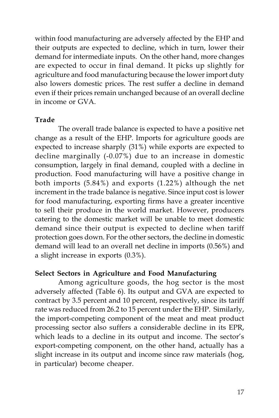within food manufacturing are adversely affected by the EHP and their outputs are expected to decline, which in turn, lower their demand for intermediate inputs. On the other hand, more changes are expected to occur in final demand. It picks up slightly for agriculture and food manufacturing because the lower import duty also lowers domestic prices. The rest suffer a decline in demand even if their prices remain unchanged because of an overall decline in income or GVA.

#### **Trade**

The overall trade balance is expected to have a positive net change as a result of the EHP. Imports for agriculture goods are expected to increase sharply (31%) while exports are expected to decline marginally (-0.07%) due to an increase in domestic consumption, largely in final demand, coupled with a decline in production. Food manufacturing will have a positive change in both imports (5.84%) and exports (1.22%) although the net increment in the trade balance is negative. Since input cost is lower for food manufacturing, exporting firms have a greater incentive to sell their produce in the world market. However, producers catering to the domestic market will be unable to meet domestic demand since their output is expected to decline when tariff protection goes down. For the other sectors, the decline in domestic demand will lead to an overall net decline in imports (0.56%) and a slight increase in exports (0.3%).

### **Select Sectors in Agriculture and Food Manufacturing**

Among agriculture goods, the hog sector is the most adversely affected (Table 6). Its output and GVA are expected to contract by 3.5 percent and 10 percent, respectively, since its tariff rate was reduced from 26.2 to 15 percent under the EHP. Similarly, the import-competing component of the meat and meat product processing sector also suffers a considerable decline in its EPR, which leads to a decline in its output and income. The sector's export-competing component, on the other hand, actually has a slight increase in its output and income since raw materials (hog, in particular) become cheaper.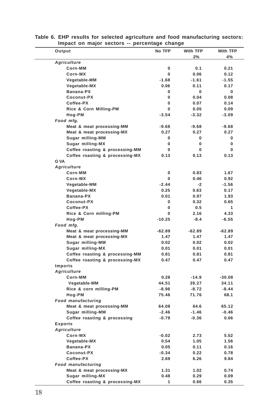| Output                          | No TFP       | With TFP | <b>With TFP</b> |
|---------------------------------|--------------|----------|-----------------|
|                                 |              | 2%       | 4%              |
| <b>Agriculture</b>              |              |          |                 |
| Corn-MM                         | 0            | 0.1      | 0.21            |
| Corn-MX                         | 0            | 0.06     | 0.12            |
| Vegetable-MM                    | $-1.68$      | $-1.61$  | -1.55           |
| Vegetable-MX                    | 0.06         | 0.11     | 0.17            |
| Banana-PX                       | 0            | 0        | 0               |
| Coconut-PX                      | 0            | 0.04     | 0.08            |
| Coffee-PX                       | 0            | 0.07     | 0.14            |
| Rice & Corn Milling-PM          | 0            | 0.05     | 0.09            |
| Hog-PM                          | $-3.54$      | $-3.32$  | -3.09           |
| Food mfg.                       |              |          |                 |
| Meat & meat processing-MM       | $-9.68$      | -9.68    | -9.68           |
| Meat & meat processing-MX       | 0.27         | 0.27     | 0.27            |
| Sugar milling-MM                | 0            | 0        | 0               |
| Sugar milling-MX                | 0            | 0        | 0               |
| Coffee roasting & processing-MM | 0            | 0        | 0               |
| Coffee roasting & processing-MX | 0.13         | 0.13     | 0.13            |
| G VA                            |              |          |                 |
| Agriculture                     |              |          |                 |
| Corn-MM                         | 0            | 0.83     | 1.67            |
| Corn-MX                         | 0            | 0.46     | 0.92            |
| Vegetable-MM                    | $-2.44$      | $-2$     | -1.56           |
| Vegetable-MX                    | 0.25         | 0.63     | 0.17            |
| Banana-PX                       | 0.01         | 0.97     | 1.93            |
| Coconut-PX                      | 0            | 0.32     | 0.65            |
| Coffee-PX                       | 0            | 0.5      | 1               |
| Rice & Corn milling-PM          | 0            | 2.16     | 4.33            |
| Hog-PM                          | $-10.25$     | $-8.4$   | $-6.55$         |
| Food mfg.                       |              |          |                 |
| Meat & meat processing-MM       | $-62.89$     | $-62.89$ | $-62.89$        |
| Meat & meat processing-MX       | 1.47         | 1.47     | 1.47            |
| Sugar milling-MM                | 0.02         | 0.02     | 0.02            |
| Sugar milling-MX                | 0.01         | 0.01     | 0.01            |
| Coffee roasting & processing-MM | 0.81         | 0.81     | 0.81            |
| Coffee roasting & processing-MX | 0.47         | 0.47     | 0.47            |
| Imports                         |              |          |                 |
| Agriculture                     |              |          |                 |
| Corn-MM                         | 0.28         | $-14.9$  | $-30.08$        |
| Vegetable-MM                    | 44.51        | 39.27    | 34.11           |
| Rice & corn milling-PM          | $-8.96$      | $-8.72$  | $-8.44$         |
| Hog-PM                          | 75.46        | 71.76    | 68.1            |
| <b>Food manufacturing</b>       |              |          |                 |
| Meat & meat processing-MM       | 64.08        | 64.6     | 65.12           |
| Sugar milling-MM                | $-2.46$      | $-1.46$  | $-0.46$         |
| Coffee roasting & processing    | $-0.79$      | $-0.36$  | 0.06            |
| <b>Exports</b>                  |              |          |                 |
| Agriculture                     |              |          |                 |
| Corn-MX                         | -0.02        | 2.73     | 5.52            |
| Vegetable-MX                    | 0.54         | 1.05     | 1.56            |
| Banana-PX                       | 0.05         | 0.11     | 0.16            |
| Coconut-PX                      | $-0.34$      | 0.22     | 0.78            |
| Coffee-PX                       | 2.69         | 6.26     | 9.84            |
| <b>Food manufacturing</b>       |              |          |                 |
| Meat & meat processing-MX       | 1.31         | 1.02     | 0.74            |
| Sugar milling-MX                | 0.48         | 0.29     | 0.09            |
| Coffee roasting & processing-MX | $\mathbf{1}$ | 0.66     | 0.35            |

**Table 6. EHP results for selected agriculture and food manufacturing sectors: Impact on major sectors -- percentage change**  $\frac{1}{2}$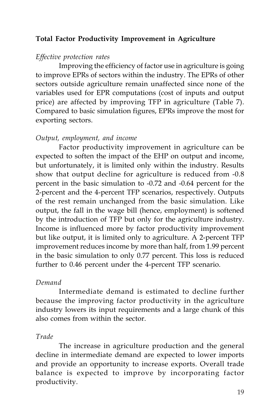### **Total Factor Productivity Improvement in Agriculture**

#### *Effective protection rates*

Improving the efficiency of factor use in agriculture is going to improve EPRs of sectors within the industry. The EPRs of other sectors outside agriculture remain unaffected since none of the variables used for EPR computations (cost of inputs and output price) are affected by improving TFP in agriculture (Table 7). Compared to basic simulation figures, EPRs improve the most for exporting sectors.

#### *Output, employment, and income*

Factor productivity improvement in agriculture can be expected to soften the impact of the EHP on output and income, but unfortunately, it is limited only within the industry. Results show that output decline for agriculture is reduced from -0.8 percent in the basic simulation to -0.72 and -0.64 percent for the 2-percent and the 4-percent TFP scenarios, respectively. Outputs of the rest remain unchanged from the basic simulation. Like output, the fall in the wage bill (hence, employment) is softened by the introduction of TFP but only for the agriculture industry. Income is influenced more by factor productivity improvement but like output, it is limited only to agriculture. A 2-percent TFP improvement reduces income by more than half, from 1.99 percent in the basic simulation to only 0.77 percent. This loss is reduced further to 0.46 percent under the 4-percent TFP scenario.

#### *Demand*

Intermediate demand is estimated to decline further because the improving factor productivity in the agriculture industry lowers its input requirements and a large chunk of this also comes from within the sector.

#### *Trade*

The increase in agriculture production and the general decline in intermediate demand are expected to lower imports and provide an opportunity to increase exports. Overall trade balance is expected to improve by incorporating factor productivity.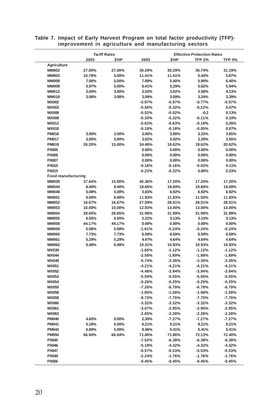|                              | <b>Tariff Rates</b> |        | <b>Effective Protection Rates</b> |                      |                      |                      |
|------------------------------|---------------------|--------|-----------------------------------|----------------------|----------------------|----------------------|
|                              | 2003                | EHP    | 2003                              | EHP                  | <b>TFP 2%</b>        | <b>TFP 4%</b>        |
| Agriculture                  |                     |        |                                   |                      |                      |                      |
| <b>MM002</b>                 | 27.00%              | 27.00% | 30.29%                            | 30.29%               | 30.74%               | 31.19%               |
| <b>MM003</b>                 | 10.78%              | 5.00%  | 11.41%                            | 11.41%               | 5.43%                | 5.67%                |
| <b>MM008</b>                 | 7.00%               | 5.00%  | 7.89%                             | 5.40%                | 5.90%                | 6.40%                |
| <b>MM009</b>                 | 5.97%               | 5.00%  | 6.41%                             | 5.29%                | 5.62%                | 5.94%                |
| <b>MM013</b>                 | 3.00%               | 3.00%  | 3.02%                             | 3.02%                | 3.58%                | 4.13%                |
| <b>MM018</b>                 | 3.08%               | 3.08%  | 3.09%                             | 3.09%                | 3.24%                | 3.39%                |
| <b>MX002</b>                 |                     |        | $-0.97%$                          | $-0.97%$             | $-0.77%$             | $-0.57%$             |
| <b>MX003</b>                 |                     |        | $-0.50%$                          | $-0.32%$             | $-0.12%$             | 0.07%                |
| <b>MX008</b>                 |                     |        | $-0.52%$                          | $-0.52%$             | $-0.2$               | 0.13%                |
| <b>MX009</b>                 |                     |        | $-0.33%$                          | $-0.32%$             | $-0.11%$             | 0.10%                |
| <b>MX013</b>                 |                     |        | $-0.63%$                          | $-0.63%$             | $-0.19%$             | 0.26%                |
| <b>MX018</b>                 |                     |        | $-0.18%$                          | $-0.18%$             | $-0.05%$             | 0.07%                |
| <b>PM016</b>                 | 3.00%               | 3.00%  | 3.00%                             | 3.00%                | 3.33%                | 3.65%                |
| <b>PM017</b>                 | 3.00%               | 3.00%  | 3.02%                             | 3.02%                | 3.29%                | 3.55%                |
| <b>PM019</b>                 | 26.20%              | 15.00% | 34.48%                            | 18.62%               | 19.62%               | 20.62%               |
| <b>PX005</b>                 |                     |        | 0.00%<br>0.00%                    | 0.00%<br>0.00%       | 0.00%<br>0.00%       | 0.00%<br>0.00%       |
| <b>PX006</b>                 |                     |        | 0.00%                             | 0.00%                | 0.00%                | 0.00%                |
| <b>PX007</b><br>PX010        |                     |        | $-0.16%$                          | $-0.16%$             | $-0.02%$             | 0.11%                |
| PX015                        |                     |        | $-0.22%$                          | $-0.22%$             | 0.00%                | 0.23%                |
| <b>Food manufacturing</b>    |                     |        |                                   |                      |                      |                      |
| <b>MM039</b>                 | 37.64%              | 15.00% | 45.36%                            | 17.20%               | 17.20%               | 17.20%               |
| <b>MM044</b>                 | 8.40%               | 8.40%  | 18.66%                            | 19.69%               | 19.69%               | 19.69%               |
| <b>MM048</b>                 | 5.08%               | 5.08%  | 3.83%                             | 6.92%                | 6.92%                | 6.92%                |
| <b>MM051</b>                 | 6.00%               | 6.00%  | 11.93%                            | 11.93%               | 11.93%               | 11.93%               |
| <b>MM052</b>                 | 16.67%              | 16.67% | 27.59%                            | 28.51%               | 28.51%               | 28.51%               |
| <b>MM053</b>                 | 10.00%              | 10.00% | 12.93%                            | 13.00%               | 13.00%               | 13.00%               |
| <b>MM054</b>                 | 28.65%              | 28.65% | 31.99%                            | 31.99%               | 31.99%               | 31.99%               |
| <b>MM055</b>                 | 6.55%               | 6.55%  | 2.22%                             | 3.13%                | 3.13%                | 3.13%                |
| <b>MM058</b>                 | 44.17%              | 44.17% | 0.00%                             | 0.00%                | 0.00%                | 0.00%                |
| <b>MM059</b>                 | 5.58%               | 5.58%  | $-1.61%$                          | $-0.24%$             | $-0.24%$             | $-0.24%$             |
| <b>MM060</b>                 | 7.73%               | 7.73%  | 6.59%                             | 6.59%                | 6.59%                | 6.59%                |
| <b>MM061</b>                 | 5.29%               | 5.29%  | 4.47%                             | 4.64%                | 4.64%                | 4.64%                |
| <b>MM062</b>                 | 6.48%               | 6.48%  | 10.31%                            | 10.93%               | 10.93%               | 10.93%               |
| <b>MX039</b>                 |                     |        | $-1.65%$                          | $-1.12%$             | $-1.12%$             | $-1.12%$             |
| <b>MX044</b>                 |                     |        | $-2.58%$                          | $-1.89%$             | $-1.89%$             | $-1.89%$             |
| <b>MX048</b>                 |                     |        | $-5.74%$                          | $-3.35%$             | $-3.35%$             | $-3.35%$             |
| <b>MX051</b>                 |                     |        | $-4.21%$                          | $-4.21%$             | $-4.21%$             | $-4.21%$             |
| <b>MX052</b>                 |                     |        | $-4.48%$                          | $-3.94%$             | $-3.94%$             | $-3.94%$             |
| <b>MX053</b>                 |                     |        | $-5.59%$                          | $-5.55%$             | $-5.55%$             | $-5.55%$             |
| <b>MX054</b>                 |                     |        | $-0.26%$                          | $-0.25%$             | $-0.25%$             | $-0.25%$             |
| <b>MX055</b>                 |                     |        | $-7.26%$                          | $-6.79%$             | $-6.79%$             | $-6.79%$             |
| <b>MX058</b><br><b>MX059</b> |                     |        | $-1.85%$<br>$-8.73%$              | $-1.58%$<br>$-7.75%$ | $-1.58%$<br>$-7.75%$ | $-1.58%$<br>$-7.75%$ |
| <b>MX060</b>                 |                     |        | $-3.32%$                          | $-3.32%$             | $-3.32%$             | $-3.32%$             |
| <b>MX061</b>                 |                     |        | $-3.07%$                          | $-2.95%$             | $-2.95%$             | $-2.95%$             |
| <b>MX062</b>                 |                     |        | $-2.65%$                          | $-2.28%$             | $-2.28%$             | $-2.28%$             |
| <b>PM040</b>                 | 4.60%               | 0.00%  | 2.30%                             | $-7.27%$             | $-7.27%$             | $-7.27%$             |
| <b>PM041</b>                 | 5.18%               | 5.00%  | 6.21%                             | 9.21%                | 9.21%                | 9.21%                |
| <b>PM043</b>                 | 6.80%               | 5.00%  | 8.46%                             | 5.41%                | 5.41%                | 5.41%                |
| <b>PM050</b>                 | 66.94%              | 66.94% | 71.86%                            | 71.86%               | 72.13%               | 72.40%               |
| <b>PX045</b>                 |                     |        | $-7.52%$                          | $-6.38%$             | $-6.38%$             | $-6.38%$             |
| <b>PX046</b>                 |                     |        | $-5.19%$                          | $-4.32%$             | $-4.32%$             | $-4.32%$             |
| <b>PX047</b>                 |                     |        | $-0.57%$                          | $-0.53%$             | $-0.53%$             | $-0.53%$             |
| <b>PX049</b>                 |                     |        | $-2.24%$                          | $-1.76%$             | $-1.76%$             | $-1.76%$             |
| <b>PX056</b>                 |                     |        | $-0.45%$                          | $-0.45%$             | $-0.45%$             | $-0.45%$             |

#### **Table 7. Impact of Early Harvest Program on total factor productivity (TFP) improvement in agriculture and manufacturing sectors**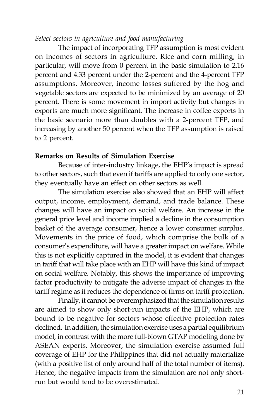### *Select sectors in agriculture and food manufacturing*

The impact of incorporating TFP assumption is most evident on incomes of sectors in agriculture. Rice and corn milling, in particular, will move from 0 percent in the basic simulation to 2.16 percent and 4.33 percent under the 2-percent and the 4-percent TFP assumptions. Moreover, income losses suffered by the hog and vegetable sectors are expected to be minimized by an average of 20 percent. There is some movement in import activity but changes in exports are much more significant. The increase in coffee exports in the basic scenario more than doubles with a 2-percent TFP, and increasing by another 50 percent when the TFP assumption is raised to 2 percent.

#### **Remarks on Results of Simulation Exercise**

Because of inter-industry linkage, the EHP's impact is spread to other sectors, such that even if tariffs are applied to only one sector, they eventually have an effect on other sectors as well.

The simulation exercise also showed that an EHP will affect output, income, employment, demand, and trade balance. These changes will have an impact on social welfare. An increase in the general price level and income implied a decline in the consumption basket of the average consumer, hence a lower consumer surplus. Movements in the price of food, which comprise the bulk of a consumer's expenditure, will have a greater impact on welfare. While this is not explicitly captured in the model, it is evident that changes in tariff that will take place with an EHP will have this kind of impact on social welfare. Notably, this shows the importance of improving factor productivity to mitigate the adverse impact of changes in the tariff regime as it reduces the dependence of firms on tariff protection.

Finally, it cannot be overemphasized that the simulation results are aimed to show only short-run impacts of the EHP, which are bound to be negative for sectors whose effective protection rates declined. In addition, the simulation exercise uses a partial equilibrium model, in contrast with the more full-blown GTAP modeling done by ASEAN experts. Moreover, the simulation exercise assumed full coverage of EHP for the Philippines that did not actually materialize (with a positive list of only around half of the total number of items). Hence, the negative impacts from the simulation are not only shortrun but would tend to be overestimated.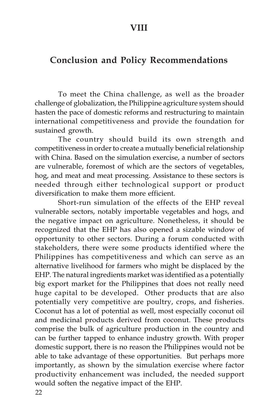## **Conclusion and Policy Recommendations**

To meet the China challenge, as well as the broader challenge of globalization, the Philippine agriculture system should hasten the pace of domestic reforms and restructuring to maintain international competitiveness and provide the foundation for sustained growth.

The country should build its own strength and competitiveness in order to create a mutually beneficial relationship with China. Based on the simulation exercise, a number of sectors are vulnerable, foremost of which are the sectors of vegetables, hog, and meat and meat processing. Assistance to these sectors is needed through either technological support or product diversification to make them more efficient.

Short-run simulation of the effects of the EHP reveal vulnerable sectors, notably importable vegetables and hogs, and the negative impact on agriculture. Nonetheless, it should be recognized that the EHP has also opened a sizable window of opportunity to other sectors. During a forum conducted with stakeholders, there were some products identified where the Philippines has competitiveness and which can serve as an alternative livelihood for farmers who might be displaced by the EHP. The natural ingredients market was identified as a potentially big export market for the Philippines that does not really need huge capital to be developed. Other products that are also potentially very competitive are poultry, crops, and fisheries. Coconut has a lot of potential as well, most especially coconut oil and medicinal products derived from coconut. These products comprise the bulk of agriculture production in the country and can be further tapped to enhance industry growth. With proper domestic support, there is no reason the Philippines would not be able to take advantage of these opportunities. But perhaps more importantly, as shown by the simulation exercise where factor productivity enhancement was included, the needed support would soften the negative impact of the EHP.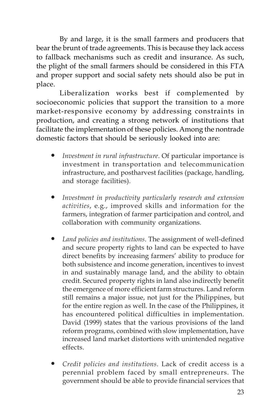By and large, it is the small farmers and producers that bear the brunt of trade agreements. This is because they lack access to fallback mechanisms such as credit and insurance. As such, the plight of the small farmers should be considered in this FTA and proper support and social safety nets should also be put in place.

Liberalization works best if complemented by socioeconomic policies that support the transition to a more market-responsive economy by addressing constraints in production, and creating a strong network of institutions that facilitate the implementation of these policies. Among the nontrade domestic factors that should be seriously looked into are:

- Investment in rural infrastructure. Of particular importance is investment in transportation and telecommunication infrastructure, and postharvest facilities (package, handling, and storage facilities).
- Investment in productivity particularly research and extension *activities*, e.g., improved skills and information for the farmers, integration of farmer participation and control, and collaboration with community organizations.
- Land policies and institutions. The assignment of well-defined and secure property rights to land can be expected to have direct benefits by increasing farmers' ability to produce for both subsistence and income generation, incentives to invest in and sustainably manage land, and the ability to obtain credit. Secured property rights in land also indirectly benefit the emergence of more efficient farm structures. Land reform still remains a major issue, not just for the Philippines, but for the entire region as well. In the case of the Philippines, it has encountered political difficulties in implementation. David (1999) states that the various provisions of the land reform programs, combined with slow implementation, have increased land market distortions with unintended negative effects.
- y *Credit policies and institutions*. Lack of credit access is a perennial problem faced by small entrepreneurs. The government should be able to provide financial services that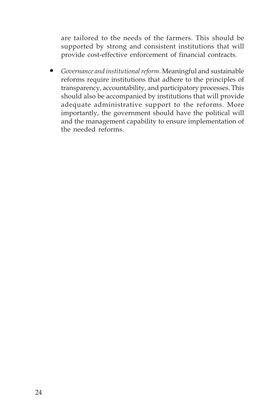are tailored to the needs of the farmers. This should be supported by strong and consistent institutions that will provide cost-effective enforcement of financial contracts.

y *Governance and institutional reform*. Meaningful and sustainable reforms require institutions that adhere to the principles of transparency, accountability, and participatory processes. This should also be accompanied by institutions that will provide adequate administrative support to the reforms. More importantly, the government should have the political will and the management capability to ensure implementation of the needed reforms.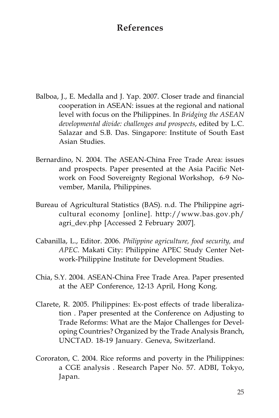## **References**

- Balboa, J., E. Medalla and J. Yap. 2007. Closer trade and financial cooperation in ASEAN: issues at the regional and national level with focus on the Philippines. In *Bridging the ASEAN developmental divide: challenges and prospects*, edited by L.C. Salazar and S.B. Das. Singapore: Institute of South East Asian Studies.
- Bernardino, N. 2004. The ASEAN-China Free Trade Area: issues and prospects. Paper presented at the Asia Pacific Network on Food Sovereignty Regional Workshop, 6-9 November, Manila, Philippines.
- Bureau of Agricultural Statistics (BAS). n.d. The Philippine agricultural economy [online]. http://www.bas.gov.ph/ agri\_dev.php [Accessed 2 February 2007].
- Cabanilla, L., Editor. 2006. *Philippine agriculture, food security, and APEC*. Makati City: Philippine APEC Study Center Network-Philippine Institute for Development Studies.
- Chia, S.Y. 2004. ASEAN-China Free Trade Area. Paper presented at the AEP Conference, 12-13 April, Hong Kong.
- Clarete, R. 2005. Philippines: Ex-post effects of trade liberalization . Paper presented at the Conference on Adjusting to Trade Reforms: What are the Major Challenges for Developing Countries? Organized by the Trade Analysis Branch, UNCTAD. 18-19 January. Geneva, Switzerland.
- Cororaton, C. 2004. Rice reforms and poverty in the Philippines: a CGE analysis . Research Paper No. 57. ADBI, Tokyo, Japan.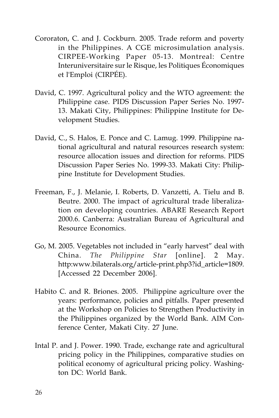- Cororaton, C. and J. Cockburn. 2005. Trade reform and poverty in the Philippines. A CGE microsimulation analysis. CIRPEE-Working Paper 05-13. Montreal: Centre Interuniversitaire sur le Risque, les Politiques Économiques et l'Emploi (CIRPÉE).
- David, C. 1997. Agricultural policy and the WTO agreement: the Philippine case. PIDS Discussion Paper Series No. 1997- 13. Makati City, Philippines: Philippine Institute for Development Studies.
- David, C., S. Halos, E. Ponce and C. Lamug. 1999. Philippine national agricultural and natural resources research system: resource allocation issues and direction for reforms. PIDS Discussion Paper Series No. 1999-33. Makati City: Philippine Institute for Development Studies.
- Freeman, F., J. Melanie, I. Roberts, D. Vanzetti, A. Tielu and B. Beutre. 2000. The impact of agricultural trade liberalization on developing countries. ABARE Research Report 2000.6. Canberra: Australian Bureau of Agricultural and Resource Economics.
- Go, M. 2005. Vegetables not included in "early harvest" deal with China. *The Philippine Star* [online]. 2 May. http:www.bilaterals.org/article-print.php3?id\_article=1809. [Accessed 22 December 2006].
- Habito C. and R. Briones. 2005. Philippine agriculture over the years: performance, policies and pitfalls. Paper presented at the Workshop on Policies to Strengthen Productivity in the Philippines organized by the World Bank. AIM Conference Center, Makati City. 27 June.
- Intal P. and J. Power. 1990. Trade, exchange rate and agricultural pricing policy in the Philippines, comparative studies on political economy of agricultural pricing policy. Washington DC: World Bank.